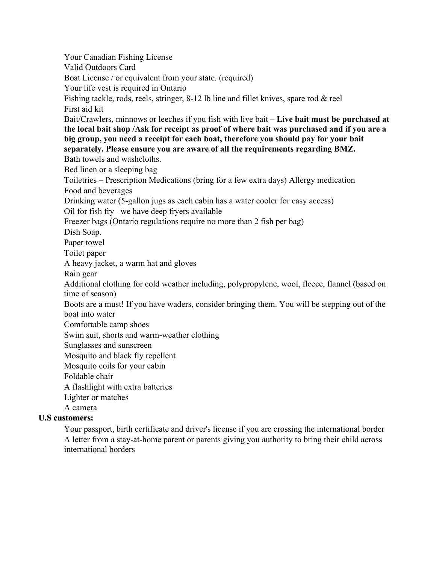Your Canadian Fishing License Valid Outdoors Card Boat License / or equivalent from your state. (required) Your life vest is required in Ontario Fishing tackle, rods, reels, stringer, 8-12 lb line and fillet knives, spare rod & reel First aid kit Bait/Crawlers, minnows or leeches if you fish with live bait – **Live bait must be purchased at the local bait shop /Ask for receipt as proof of where bait was purchased and if you are a big group, you need a receipt for each boat, therefore you should pay for your bait separately. Please ensure you are aware of all the requirements regarding BMZ.**  Bath towels and washcloths. Bed linen or a sleeping bag Toiletries – Prescription Medications (bring for a few extra days) Allergy medication Food and beverages Drinking water (5-gallon jugs as each cabin has a water cooler for easy access) Oil for fish fry– we have deep fryers available Freezer bags (Ontario regulations require no more than 2 fish per bag) Dish Soap. Paper towel Toilet paper A heavy jacket, a warm hat and gloves Rain gear Additional clothing for cold weather including, polypropylene, wool, fleece, flannel (based on time of season) Boots are a must! If you have waders, consider bringing them. You will be stepping out of the boat into water Comfortable camp shoes Swim suit, shorts and warm-weather clothing Sunglasses and sunscreen Mosquito and black fly repellent Mosquito coils for your cabin Foldable chair A flashlight with extra batteries Lighter or matches A camera **U.S customers:** Your passport, birth certificate and driver's license if you are crossing the international border A letter from a stay-at-home parent or parents giving you authority to bring their child across

international borders